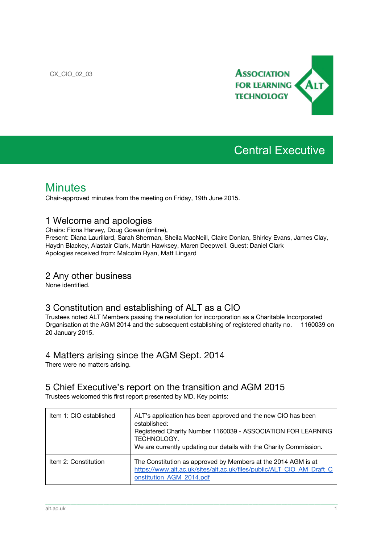

# Central Executive

## **Minutes**

Chair-approved minutes from the meeting on Friday, 19th June 2015.

#### 1 Welcome and apologies

Chairs: Fiona Harvey, Doug Gowan (online),

Present: Diana Laurillard, Sarah Sherman, Sheila MacNeill, Claire Donlan, Shirley Evans, James Clay, Haydn Blackey, Alastair Clark, Martin Hawksey, Maren Deepwell. Guest: Daniel Clark Apologies received from: Malcolm Ryan, Matt Lingard

#### 2 Any other business

None identified.

#### 3 Constitution and establishing of ALT as a CIO

Trustees noted ALT Members passing the resolution for incorporation as a Charitable Incorporated Organisation at the AGM 2014 and the subsequent establishing of registered charity no. 1160039 on 20 January 2015.

#### 4 Matters arising since the AGM Sept. 2014

There were no matters arising.

#### 5 Chief Executive's report on the transition and AGM 2015

Trustees welcomed this first report presented by MD. Key points:

| Item 1: CIO established | ALT's application has been approved and the new CIO has been<br>established:<br>Registered Charity Number 1160039 - ASSOCIATION FOR LEARNING<br>TECHNOLOGY.<br>We are currently updating our details with the Charity Commission. |
|-------------------------|-----------------------------------------------------------------------------------------------------------------------------------------------------------------------------------------------------------------------------------|
| Item 2: Constitution    | The Constitution as approved by Members at the 2014 AGM is at<br>https://www.alt.ac.uk/sites/alt.ac.uk/files/public/ALT CIO AM Draft C<br>onstitution AGM 2014.pdf                                                                |

\_\_\_\_\_\_\_\_\_\_\_\_\_\_\_\_\_\_\_\_\_\_\_\_\_\_\_\_\_\_\_\_\_\_\_\_\_\_\_\_\_\_\_\_\_\_\_\_\_\_\_\_\_\_\_\_\_\_\_\_\_\_\_\_\_\_\_\_\_\_\_\_\_\_\_\_\_\_\_\_\_\_\_\_\_\_\_\_\_\_\_\_\_\_\_\_\_\_\_\_\_\_\_\_\_\_\_\_\_\_\_\_\_\_\_\_\_\_\_\_\_\_\_\_\_\_\_\_\_\_\_\_\_\_\_\_\_\_\_\_\_\_\_\_\_\_\_\_\_\_\_